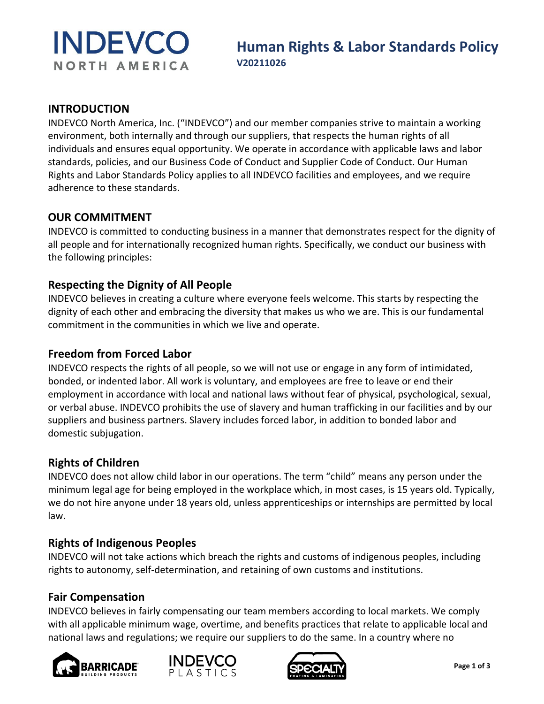

#### **INTRODUCTION**

INDEVCO North America, Inc. ("INDEVCO") and our member companies strive to maintain a working environment, both internally and through our suppliers, that respects the human rights of all individuals and ensures equal opportunity. We operate in accordance with applicable laws and labor standards, policies, and our Business Code of Conduct and Supplier Code of Conduct. Our Human Rights and Labor Standards Policy applies to all INDEVCO facilities and employees, and we require adherence to these standards.

# **OUR COMMITMENT**

INDEVCO is committed to conducting business in a manner that demonstrates respect for the dignity of all people and for internationally recognized human rights. Specifically, we conduct our business with the following principles:

# **Respecting the Dignity of All People**

INDEVCO believes in creating a culture where everyone feels welcome. This starts by respecting the dignity of each other and embracing the diversity that makes us who we are. This is our fundamental commitment in the communities in which we live and operate.

## **Freedom from Forced Labor**

INDEVCO respects the rights of all people, so we will not use or engage in any form of intimidated, bonded, or indented labor. All work is voluntary, and employees are free to leave or end their employment in accordance with local and national laws without fear of physical, psychological, sexual, or verbal abuse. INDEVCO prohibits the use of slavery and human trafficking in our facilities and by our suppliers and business partners. Slavery includes forced labor, in addition to bonded labor and domestic subjugation.

#### **Rights of Children**

INDEVCO does not allow child labor in our operations. The term "child" means any person under the minimum legal age for being employed in the workplace which, in most cases, is 15 years old. Typically, we do not hire anyone under 18 years old, unless apprenticeships or internships are permitted by local law.

# **Rights of Indigenous Peoples**

INDEVCO will not take actions which breach the rights and customs of indigenous peoples, including rights to autonomy, self-determination, and retaining of own customs and institutions.

# **Fair Compensation**

INDEVCO believes in fairly compensating our team members according to local markets. We comply with all applicable minimum wage, overtime, and benefits practices that relate to applicable local and national laws and regulations; we require our suppliers to do the same. In a country where no





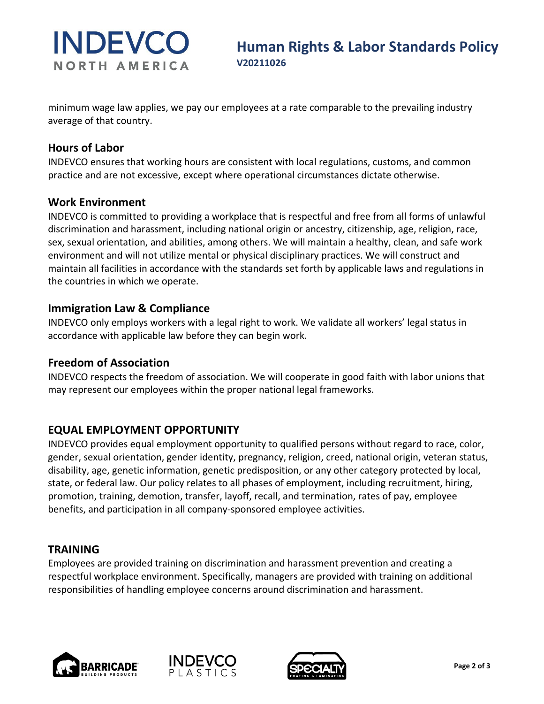# **INDEVCO** NORTH AMERICA

minimum wage law applies, we pay our employees at a rate comparable to the prevailing industry average of that country.

## **Hours of Labor**

INDEVCO ensures that working hours are consistent with local regulations, customs, and common practice and are not excessive, except where operational circumstances dictate otherwise.

#### **Work Environment**

INDEVCO is committed to providing a workplace that is respectful and free from all forms of unlawful discrimination and harassment, including national origin or ancestry, citizenship, age, religion, race, sex, sexual orientation, and abilities, among others. We will maintain a healthy, clean, and safe work environment and will not utilize mental or physical disciplinary practices. We will construct and maintain all facilities in accordance with the standards set forth by applicable laws and regulations in the countries in which we operate.

#### **Immigration Law & Compliance**

INDEVCO only employs workers with a legal right to work. We validate all workers' legal status in accordance with applicable law before they can begin work.

# **Freedom of Association**

INDEVCO respects the freedom of association. We will cooperate in good faith with labor unions that may represent our employees within the proper national legal frameworks.

# **EQUAL EMPLOYMENT OPPORTUNITY**

INDEVCO provides equal employment opportunity to qualified persons without regard to race, color, gender, sexual orientation, gender identity, pregnancy, religion, creed, national origin, veteran status, disability, age, genetic information, genetic predisposition, or any other category protected by local, state, or federal law. Our policy relates to all phases of employment, including recruitment, hiring, promotion, training, demotion, transfer, layoff, recall, and termination, rates of pay, employee benefits, and participation in all company-sponsored employee activities.

#### **TRAINING**

Employees are provided training on discrimination and harassment prevention and creating a respectful workplace environment. Specifically, managers are provided with training on additional responsibilities of handling employee concerns around discrimination and harassment.